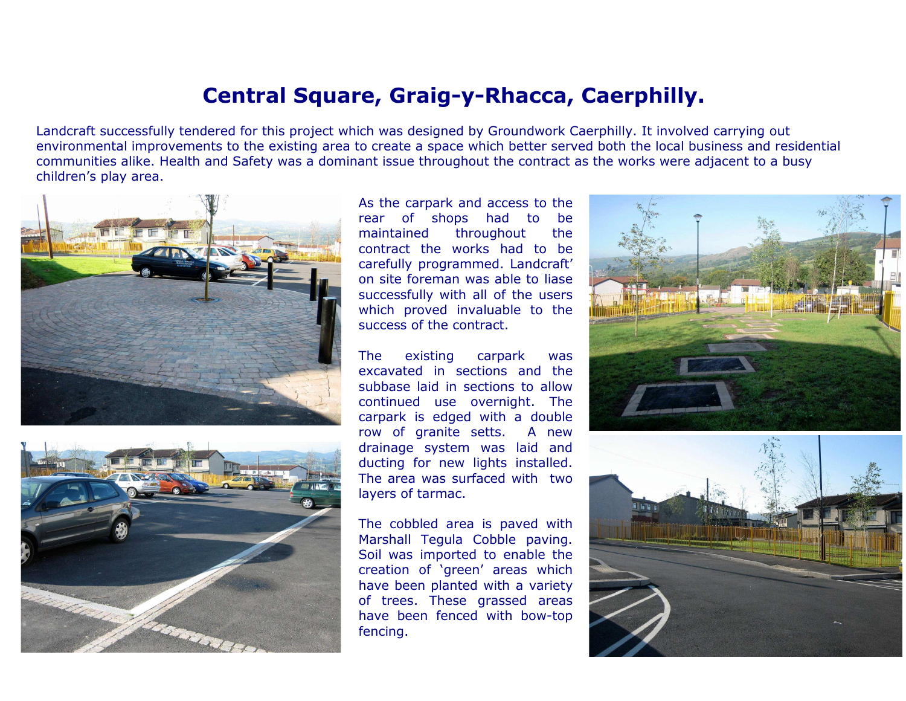## Central Square, Graig-y-Rhacca, Caerphilly.

Landcraft successfully tendered for this project which was designed by Groundwork Caerphilly. It involved carrying out environmental improvements to the existing area to create a space which better served both the local business and residentialcommunities alike. Health and Safety was a dominant issue throughout the contract as the works were adjacent to a busychildren's play area.





As the carpark and access to thebe rear of shops had to the maintained throughout contract the works had to be carefully programmed. Landcraft' on site foreman was able to liase successfully with all of the users which proved invaluable to thesuccess of the contract.

The existing carpark was excavated in sections and the subbase laid in sections to allow continued use overnight. The carpark is edged with a doubleA new row of granite setts. drainage system was laid and ducting for new lights installed. The area was surfaced with twolayers of tarmac.

The cobbled area is paved with Marshall Tegula Cobble paving. Soil was imported to enable the creation of 'green' areas which have been planted with a variety of trees. These grassed areas have been fenced with bow-topfencing.